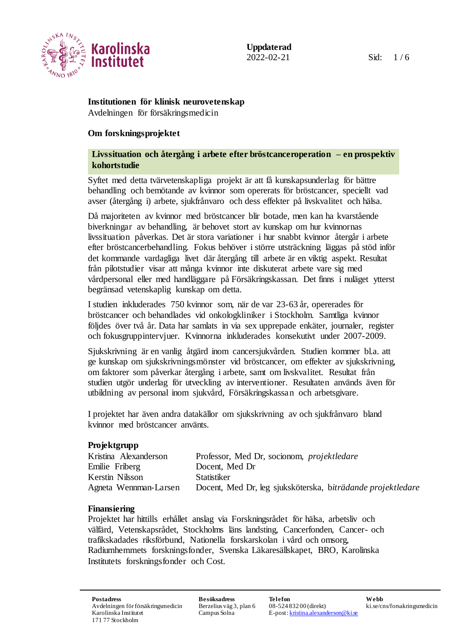

# **Institutionen för klinisk neurovetenskap**

Avdelningen för försäkringsmedicin

## **Om forskningsprojektet**

## **Livssituation och återgång i arbete efter bröstcanceroperation – en prospektiv kohortstudie**

Syftet med detta tvärvetenskapliga projekt är att få kunskapsunderlag för bättre behandling och bemötande av kvinnor som opererats för bröstcancer, speciellt vad avser (återgång i) arbete, sjukfrånvaro och dess effekter på livskvalitet och hälsa.

Då majoriteten av kvinnor med bröstcancer blir botade, men kan ha kvarstående biverkningar av behandling, är behovet stort av kunskap om hur kvinnornas livssituation påverkas. Det är stora variationer i hur snabbt kvinnor återgår i arbete efter bröstcancerbehandling. Fokus behöver i större utsträckning läggas på stöd inför det kommande vardagliga livet där återgång till arbete är en viktig aspekt. Resultat från pilotstudier visar att många kvinnor inte diskuterat arbete vare sig med vårdpersonal eller med handläggare på Försäkringskassan. Det finns i nuläget ytterst begränsad vetenskaplig kunskap om detta.

I studien inkluderades 750 kvinnor som, när de var 23-63 år, opererades för bröstcancer och behandlades vid onkologkliniker i Stockholm. Samtliga kvinnor följdes över två år. Data har samlats in via sex upprepade enkäter, journaler, register och fokusgruppintervjuer. Kvinnorna inkluderades konsekutivt under 2007-2009.

Sjukskrivning är en vanlig åtgärd inom cancersjukvården. Studien kommer bl.a. att ge kunskap om sjukskrivningsmönster vid bröstcancer, om effekter av sjukskrivning, om faktorer som påverkar återgång i arbete, samt om livskvalitet. Resultat från studien utgör underlag för utveckling av interventioner. Resultaten används även för utbildning av personal inom sjukvård, Försäkringskassan och arbetsgivare.

I projektet har även andra datakällor om sjukskrivning av och sjukfrånvaro bland kvinnor med bröstcancer använts.

## **Projektgrupp**

| Kristina Alexanderson | Professor, Med Dr, socionom, <i>projektledare</i>           |
|-----------------------|-------------------------------------------------------------|
| Emilie Friberg        | Docent, Med Dr                                              |
| Kerstin Nilsson       | Statistiker                                                 |
| Agneta Wennman-Larsen | Docent, Med Dr, leg sjuksköterska, biträdande projektledare |
|                       |                                                             |

## **Finansiering**

Projektet har hittills erhållet anslag via Forskningsrådet för hälsa, arbetsliv och välfärd, Vetenskapsrådet, Stockholms läns landsting, Cancerfonden, Cancer- och trafikskadades riksförbund, Nationella forskarskolan i vård och omsorg, Radiumhemmets forskningsfonder, Svenska Läkaresällskapet, BRO, Karolinska Institutets forskningsfonder och Cost.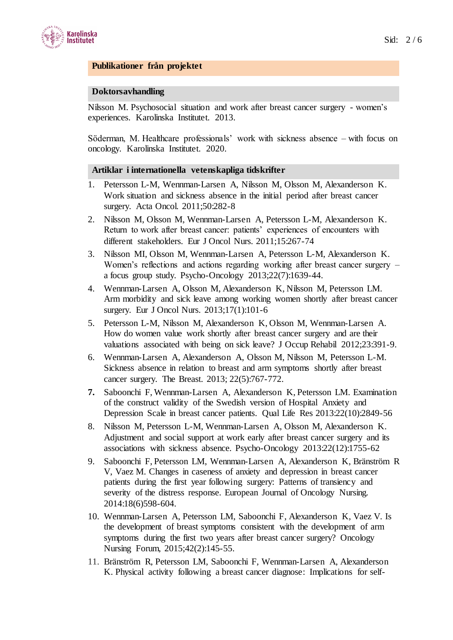

### **Publikationer från projektet**

#### **Doktorsavhandling**

Nilsson M. Psychosocial situation and work after breast cancer surgery - women's experiences. Karolinska Institutet. 2013.

Söderman, M. Healthcare professionals' work with sickness absence – with focus on oncology. Karolinska Institutet. 2020.

#### **Artiklar i internationella vetenskapliga tidskrifter**

- 1. Petersson L-M, Wennman-Larsen A, Nilsson M, Olsson M, Alexanderson K. Work situation and sickness absence in the initial period after breast cancer surgery. Acta Oncol. 2011;50:282-8
- 2. Nilsson M, Olsson M, Wennman-Larsen A, Petersson L-M, Alexanderson K. Return to work after breast cancer: patients' experiences of encounters with different stakeholders. Eur J Oncol Nurs. 2011;15:267-74
- 3. Nilsson MI, Olsson M, Wennman-Larsen A, Petersson L-M, Alexanderson K. Women's reflections and actions regarding working after breast cancer surgery – a focus group study. Psycho-Oncology 2013;22(7):1639-44.
- 4. Wennman-Larsen A, Olsson M, Alexanderson K, Nilsson M, Petersson LM. Arm morbidity and sick leave among working women shortly after breast cancer surgery. Eur J Oncol Nurs. 2013;17(1):101-6
- 5. Petersson L-M, Nilsson M, Alexanderson K, Olsson M, Wennman-Larsen A. How do women value work shortly after breast cancer surgery and are their valuations associated with being on sick leave? J Occup Rehabil 2012;23:391-9.
- 6. Wennman-Larsen A, Alexanderson A, Olsson M, Nilsson M, Petersson L-M. Sickness absence in relation to breast and arm symptoms shortly after breast cancer surgery. The Breast. 2013; 22(5):767-772.
- **7.** Saboonchi F, Wennman-Larsen A, Alexanderson K, Petersson LM. Examination of the construct validity of the Swedish version of Hospital Anxiety and Depression Scale in breast cancer patients. Qual Life Res 2013:22(10):2849-56
- 8. Nilsson M, Petersson L-M, Wennman-Larsen A, Olsson M, Alexanderson K. Adjustment and social support at work early after breast cancer surgery and its associations with sickness absence. Psycho-Oncology 2013:22(12):1755-62
- 9. Saboonchi F, Petersson LM, Wennman-Larsen A, Alexanderson K, Bränström R V, Vaez M. Changes in caseness of anxiety and depression in breast cancer patients during the first year following surgery: Patterns of transiency and severity of the distress response. European Journal of Oncology Nursing. 2014:18(6)598-604.
- 10. Wennman-Larsen A, Petersson LM, Saboonchi F, Alexanderson K, Vaez V. Is the development of breast symptoms consistent with the development of arm symptoms during the first two years after breast cancer surgery? Oncology Nursing Forum, 2015;42(2):145-55.
- 11. Bränström R, Petersson LM, Saboonchi F, Wennman-Larsen A, Alexanderson K. Physical activity following a breast cancer diagnose: Implications for self-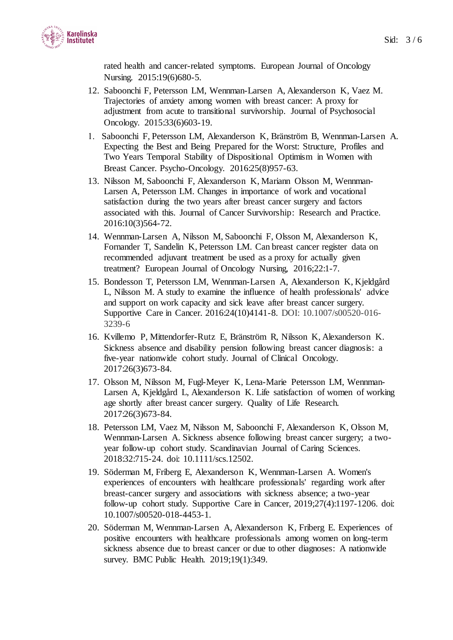

rated health and cancer-related symptoms. European Journal of Oncology Nursing. 2015:19(6)680-5.

- 12. Saboonchi F, Petersson LM, Wennman-Larsen A, Alexanderson K, Vaez M. Trajectories of anxiety among women with breast cancer: A proxy for adjustment from acute to transitional survivorship. Journal of Psychosocial Oncology. 2015:33(6)603-19.
- Saboonchi F, Petersson LM, Alexanderson K, Bränström B, Wennman-Larsen A. Expecting the Best and Being Prepared for the Worst: Structure, Profiles and Two Years Temporal Stability of Dispositional Optimism in Women with Breast Cancer. Psycho-Oncology. 2016:25(8)957-63.
- 13. Nilsson M, Saboonchi F, Alexanderson K, Mariann Olsson M, Wennman-Larsen A, Petersson LM. Changes in importance of work and vocational satisfaction during the two years after breast cancer surgery and factors associated with this. Journal of Cancer Survivorship: Research and Practice. 2016:10(3)564-72.
- 14. Wennman-Larsen A, Nilsson M, Saboonchi F, Olsson M, Alexanderson K, Fornander T, Sandelin K, Petersson LM. Can breast cancer register data on recommended adjuvant treatment be used as a proxy for actually given treatment? European Journal of Oncology Nursing, 2016;22:1-7.
- 15. Bondesson T, Petersson LM, Wennman-Larsen A, Alexanderson K, Kjeldgård L, Nilsson M. A study to examine the influence of health professionals' advice and support on work capacity and sick leave after breast cancer surgery. Supportive Care in Cancer. 2016:24(10)4141-8. DOI: 10.1007/s00520-016- 3239-6
- 16. Kvillemo P, Mittendorfer-Rutz E, Bränström R, Nilsson K, Alexanderson K. Sickness absence and disability pension following breast cancer diagnosis: a five-year nationwide cohort study. Journal of Clinical Oncology. 2017:26(3)673-84.
- 17. Olsson M, Nilsson M, Fugl-Meyer K, Lena-Marie Petersson LM, Wennman-Larsen A, Kjeldgård L, Alexanderson K. Life satisfaction of women of working age shortly after breast cancer surgery. Quality of Life Research. 2017:26(3)673-84.
- 18. Petersson LM, Vaez M, Nilsson M, Saboonchi F, Alexanderson K, Olsson M, Wennman-Larsen A. Sickness absence following breast cancer surgery; a twoyear follow-up cohort study. Scandinavian Journal of Caring Sciences. 2018:32:715-24. doi: 10.1111/scs.12502.
- 19. Söderman M, Friberg E, Alexanderson K, Wennman-Larsen A. Women's experiences of encounters with healthcare professionals' regarding work after breast-cancer surgery and associations with sickness absence; a two-year follow-up cohort study. Supportive Care in Cancer, 2019;27(4):1197-1206. doi: 10.1007/s00520-018-4453-1.
- 20. Söderman M, Wennman-Larsen A, Alexanderson K, Friberg E. Experiences of positive encounters with healthcare professionals among women on long-term sickness absence due to breast cancer or due to other diagnoses: A nationwide survey. BMC Public Health. 2019;19(1):349.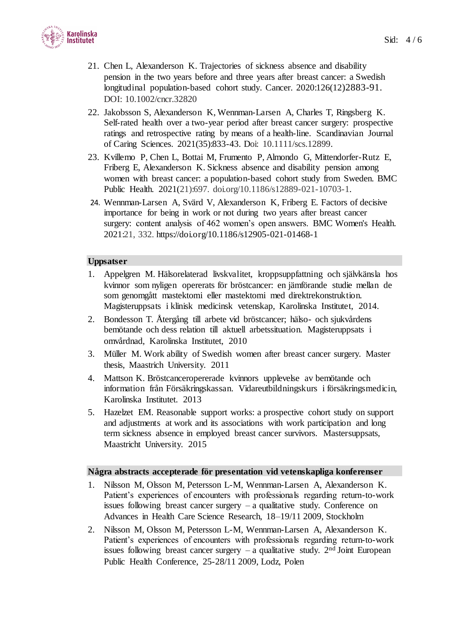

- 21. Chen L, Alexanderson K. Trajectories of sickness absence and disability pension in the two years before and three years after breast cancer: a Swedish longitudinal population-based cohort study. Cancer. 2020:126(12)2883-91. DOI: 10.1002/cncr.32820
- 22. Jakobsson S, Alexanderson K, Wennman-Larsen A, Charles T, Ringsberg K. Self-rated health over a two-year period after breast cancer surgery: prospective ratings and retrospective rating by means of a health-line. Scandinavian Journal of Caring Sciences. 2021(35):833-43. Doi: 10.1111/scs.12899.
- 23. Kvillemo P, Chen L, Bottai M, Frumento P, Almondo G, Mittendorfer-Rutz E, Friberg E, Alexanderson K. Sickness absence and disability pension among women with breast cancer: a population-based cohort study from Sweden. BMC Public Health. 2021(21):697. doi.org/10.1186/s12889-021-10703-1.
- 24. Wennman-Larsen A, Svärd V, Alexanderson K, Friberg E. Factors of decisive importance for being in work or not during two years after breast cancer surgery: content analysis of 462 women's open answers. BMC Women's Health. 2021:21, 332.<https://doi.org/10.1186/s12905-021-01468-1>

#### **Uppsatser**

- 1. Appelgren M. Hälsorelaterad livskvalitet, kroppsuppfattning och självkänsla hos kvinnor som nyligen opererats för bröstcancer: en jämförande studie mellan de som genomgått mastektomi eller mastektomi med direktrekonstruktion. Magisteruppsats i klinisk medicinsk vetenskap, Karolinska Institutet, 2014.
- 2. Bondesson T. Återgång till arbete vid bröstcancer; hälso- och sjukvårdens bemötande och dess relation till aktuell arbetssituation. Magisteruppsats i omvårdnad, Karolinska Institutet, 2010
- 3. Müller M. Work ability of Swedish women after breast cancer surgery. Master thesis, Maastrich University. 2011
- 4. Mattson K. Bröstcanceropererade kvinnors upplevelse av bemötande och information från Försäkringskassan. Vidareutbildningskurs i försäkringsmedicin, Karolinska Institutet. 2013
- 5. Hazelzet EM. Reasonable support works: a prospective cohort study on support and adjustments at work and its associations with work participation and long term sickness absence in employed breast cancer survivors. Mastersuppsats, Maastricht University. 2015

#### **Några abstracts accepterade för presentation vid vetenskapliga konferenser**

- 1. Nilsson M, Olsson M, Petersson L-M, Wennman-Larsen A, Alexanderson K. Patient's experiences of encounters with professionals regarding return-to-work issues following breast cancer surgery  $-$  a qualitative study. Conference on Advances in Health Care Science Research, 18–19/11 2009, Stockholm
- 2. Nilsson M, Olsson M, Petersson L-M, Wennman-Larsen A, Alexanderson K. Patient's experiences of encounters with professionals regarding return-to-work issues following breast cancer surgery  $-$  a qualitative study.  $2<sup>nd</sup>$  Joint European Public Health Conference, 25-28/11 2009, Lodz, Polen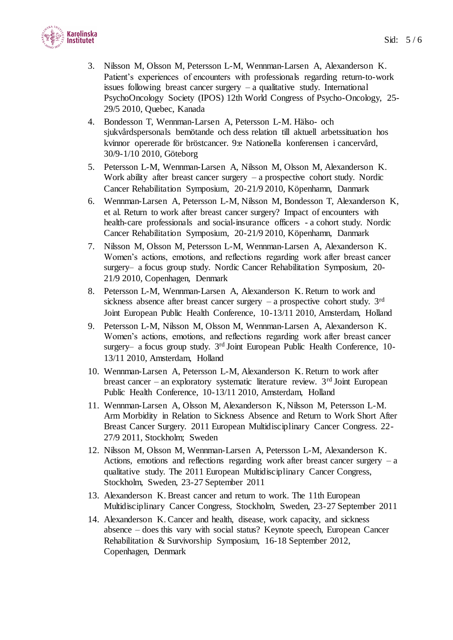

- 3. Nilsson M, Olsson M, Petersson L-M, Wennman-Larsen A, Alexanderson K. Patient's experiences of encounters with professionals regarding return-to-work issues following breast cancer surgery – a qualitative study. International PsychoOncology Society (IPOS) 12th World Congress of Psycho-Oncology, 25- 29/5 2010, Quebec, Kanada
- 4. Bondesson T, Wennman-Larsen A, Petersson L-M. Hälso- och sjukvårdspersonals bemötande och dess relation till aktuell arbetssituation hos kvinnor opererade för bröstcancer. 9:e Nationella konferensen i cancervård, 30/9-1/10 2010, Göteborg
- 5. Petersson L-M, Wennman-Larsen A, Nilsson M, Olsson M, Alexanderson K. Work ability after breast cancer surgery  $-$  a prospective cohort study. Nordic Cancer Rehabilitation Symposium, 20-21/9 2010, Köpenhamn, Danmark
- 6. Wennman-Larsen A, Petersson L-M, Nilsson M, Bondesson T, Alexanderson K, et al. Return to work after breast cancer surgery? Impact of encounters with health-care professionals and social-insurance officers - a cohort study. Nordic Cancer Rehabilitation Symposium, 20-21/9 2010, Köpenhamn, Danmark
- 7. Nilsson M, Olsson M, Petersson L-M, Wennman-Larsen A, Alexanderson K. Women's actions, emotions, and reflections regarding work after breast cancer surgery– a focus group study. Nordic Cancer Rehabilitation Symposium, 20- 21/9 2010, Copenhagen, Denmark
- 8. Petersson L-M, Wennman-Larsen A, Alexanderson K. Return to work and sickness absence after breast cancer surgery  $-$  a prospective cohort study. 3<sup>rd</sup> Joint European Public Health Conference, 10-13/11 2010, Amsterdam, Holland
- 9. Petersson L-M, Nilsson M, Olsson M, Wennman-Larsen A, Alexanderson K. Women's actions, emotions, and reflections regarding work after breast cancer surgery- a focus group study. 3<sup>rd</sup> Joint European Public Health Conference, 10-13/11 2010, Amsterdam, Holland
- 10. Wennman-Larsen A, Petersson L-M, Alexanderson K. Return to work after breast cancer – an exploratory systematic literature review.  $3<sup>rd</sup>$  Joint European Public Health Conference, 10-13/11 2010, Amsterdam, Holland
- 11. Wennman-Larsen A, Olsson M, Alexanderson K, Nilsson M, Petersson L-M. Arm Morbidity in Relation to Sickness Absence and Return to Work Short After Breast Cancer Surgery. 2011 European Multidisciplinary Cancer Congress. 22- 27/9 2011, Stockholm; Sweden
- 12. Nilsson M, Olsson M, Wennman-Larsen A, Petersson L-M, Alexanderson K. Actions, emotions and reflections regarding work after breast cancer surgery – a qualitative study. The 2011 European Multidisciplinary Cancer Congress, Stockholm, Sweden, 23-27 September 2011
- 13. Alexanderson K. Breast cancer and return to work. The 11th European Multidisciplinary Cancer Congress, Stockholm, Sweden, 23-27 September 2011
- 14. Alexanderson K. Cancer and health, disease, work capacity, and sickness absence – does this vary with social status? Keynote speech, European Cancer Rehabilitation & Survivorship Symposium, 16-18 September 2012, Copenhagen, Denmark